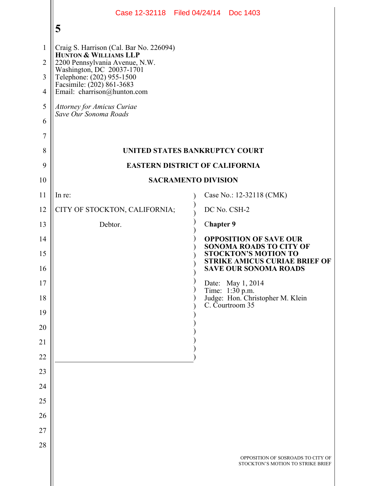|                     | Case 12-32118 Filed 04/24/14 Doc 1403                                                                                                                                                                                                                                 |                                                                                                     |
|---------------------|-----------------------------------------------------------------------------------------------------------------------------------------------------------------------------------------------------------------------------------------------------------------------|-----------------------------------------------------------------------------------------------------|
|                     | 5                                                                                                                                                                                                                                                                     |                                                                                                     |
| $\mathbf{1}$        | Craig S. Harrison (Cal. Bar No. 226094)<br><b>HUNTON &amp; WILLIAMS LLP</b><br>2200 Pennsylvania Avenue, N.W.<br>2200 Felinsylvania Avenue, N.W<br>Washington, DC 20037-1701<br>Telephone: (202) 955-1500<br>Facsimile: (202) 861-3683<br>Email: charrison@hunton.com |                                                                                                     |
| $\overline{2}$      |                                                                                                                                                                                                                                                                       |                                                                                                     |
| 3                   |                                                                                                                                                                                                                                                                       |                                                                                                     |
| $\overline{4}$<br>5 |                                                                                                                                                                                                                                                                       |                                                                                                     |
| 6                   | Attorney for Amicus Curiae<br>Save Our Sonoma Roads                                                                                                                                                                                                                   |                                                                                                     |
| 7                   |                                                                                                                                                                                                                                                                       |                                                                                                     |
| 8                   | UNITED STATES BANKRUPTCY COURT                                                                                                                                                                                                                                        |                                                                                                     |
| 9                   | <b>EASTERN DISTRICT OF CALIFORNIA</b>                                                                                                                                                                                                                                 |                                                                                                     |
| 10                  | <b>SACRAMENTO DIVISION</b>                                                                                                                                                                                                                                            |                                                                                                     |
| 11                  | In re:                                                                                                                                                                                                                                                                | Case No.: 12-32118 (CMK)                                                                            |
| 12                  | CITY OF STOCKTON, CALIFORNIA;                                                                                                                                                                                                                                         | DC No. CSH-2                                                                                        |
| 13                  | Debtor.                                                                                                                                                                                                                                                               | <b>Chapter 9</b>                                                                                    |
| 14                  |                                                                                                                                                                                                                                                                       | <b>OPPOSITION OF SAVE OUR</b><br><b>SONOMA ROADS TO CITY OF</b>                                     |
| 15<br>16            |                                                                                                                                                                                                                                                                       | <b>STOCKTON'S MOTION TO</b><br><b>STRIKE AMICUS CURIAE BRIEF OF</b><br><b>SAVE OUR SONOMA ROADS</b> |
| 17                  |                                                                                                                                                                                                                                                                       |                                                                                                     |
| 18                  |                                                                                                                                                                                                                                                                       | Date: May 1, 2014<br>Time: 1:30 p.m.<br>Judge: Hon. Christopher M. Klein<br>C. Courtroom 35         |
| 19                  |                                                                                                                                                                                                                                                                       |                                                                                                     |
| 20                  |                                                                                                                                                                                                                                                                       |                                                                                                     |
| 21                  |                                                                                                                                                                                                                                                                       |                                                                                                     |
| 22                  |                                                                                                                                                                                                                                                                       |                                                                                                     |
| 23                  |                                                                                                                                                                                                                                                                       |                                                                                                     |
| 24                  |                                                                                                                                                                                                                                                                       |                                                                                                     |
| 25                  |                                                                                                                                                                                                                                                                       |                                                                                                     |
| 26                  |                                                                                                                                                                                                                                                                       |                                                                                                     |
| 27                  |                                                                                                                                                                                                                                                                       |                                                                                                     |
| 28                  |                                                                                                                                                                                                                                                                       |                                                                                                     |
|                     |                                                                                                                                                                                                                                                                       | OPPOSITION OF SOSROADS TO CITY OF<br>STOCKTON'S MOTION TO STRIKE BRIEF                              |
|                     |                                                                                                                                                                                                                                                                       |                                                                                                     |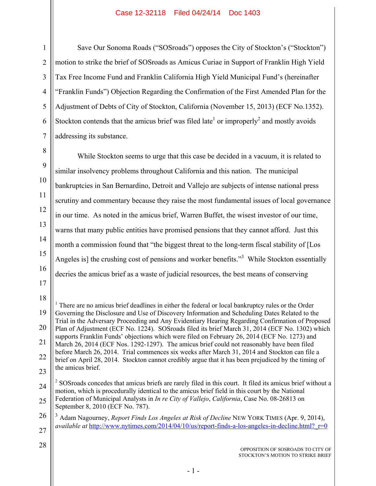1

2

3

4

5

6

7

8

9

10

11

12

13

14

15

16

17

28

Save Our Sonoma Roads ("SOSroads") opposes the City of Stockton's ("Stockton") motion to strike the brief of SOSroads as Amicus Curiae in Support of Franklin High Yield Tax Free Income Fund and Franklin California High Yield Municipal Fund's (hereinafter "Franklin Funds") Objection Regarding the Confirmation of the First Amended Plan for the Adjustment of Debts of City of Stockton, California (November 15, 2013) (ECF No.1352). Stockton contends that the amicus brief was filed late<sup>1</sup> or improperly<sup>2</sup> and mostly avoids addressing its substance.

While Stockton seems to urge that this case be decided in a vacuum, it is related to similar insolvency problems throughout California and this nation. The municipal bankruptcies in San Bernardino, Detroit and Vallejo are subjects of intense national press scrutiny and commentary because they raise the most fundamental issues of local governance in our time. As noted in the amicus brief, Warren Buffet, the wisest investor of our time, warns that many public entities have promised pensions that they cannot afford. Just this month a commission found that "the biggest threat to the long-term fiscal stability of [Los Angeles is] the crushing cost of pensions and worker benefits.<sup>33</sup> While Stockton essentially decries the amicus brief as a waste of judicial resources, the best means of conserving

18 19 20 21 22 23 1 There are no amicus brief deadlines in either the federal or local bankruptcy rules or the Order Governing the Disclosure and Use of Discovery Information and Scheduling Dates Related to the Trial in the Adversary Proceeding and Any Evidentiary Hearing Regarding Confirmation of Proposed Plan of Adjustment (ECF No. 1224). SOSroads filed its brief March 31, 2014 (ECF No. 1302) which supports Franklin Funds' objections which were filed on February 26, 2014 (ECF No. 1273) and March 26, 2014 (ECF Nos. 1292-1297). The amicus brief could not reasonably have been filed before March 26, 2014. Trial commences six weeks after March 31, 2014 and Stockton can file a brief on April 28, 2014. Stockton cannot credibly argue that it has been prejudiced by the timing of the amicus brief.

24 25 <sup>2</sup> SOSroads concedes that amicus briefs are rarely filed in this court. It filed its amicus brief without a motion, which is procedurally identical to the amicus brief field in this court by the National Federation of Municipal Analysts in *In re City of Vallejo*, *California*, Case No. 08-26813 on September 8, 2010 (ECF No. 787).

26 27 <sup>3</sup> Adam Nagourney, *Report Finds Los Angeles at Risk of Decline* NEW YORK TIMES (Apr. 9, 2014), *available at* http://www.nytimes.com/2014/04/10/us/report-finds-a-los-angeles-in-decline.html? r=0

> OPPOSITION OF SOSROADS TO CITY OF STOCKTON'S MOTION TO STRIKE BRIEF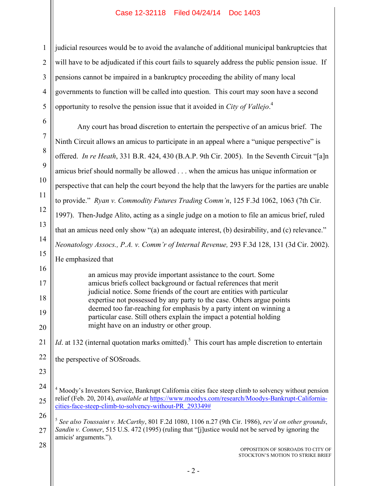2 3 4 5 judicial resources would be to avoid the avalanche of additional municipal bankruptcies that will have to be adjudicated if this court fails to squarely address the public pension issue. If pensions cannot be impaired in a bankruptcy proceeding the ability of many local governments to function will be called into question. This court may soon have a second opportunity to resolve the pension issue that it avoided in *City of Vallejo*. 4

1

6 7 8 9 10 11 12 13 14 15 16 17 18 19 20 21 22 23 24 25 26 27 28 OPPOSITION OF SOSROADS TO CITY OF STOCKTON'S MOTION TO STRIKE BRIEF Any court has broad discretion to entertain the perspective of an amicus brief. The Ninth Circuit allows an amicus to participate in an appeal where a "unique perspective" is offered. *In re Heath*, 331 B.R. 424, 430 (B.A.P. 9th Cir. 2005). In the Seventh Circuit "[a]n amicus brief should normally be allowed . . . when the amicus has unique information or perspective that can help the court beyond the help that the lawyers for the parties are unable to provide." *Ryan v. Commodity Futures Trading Comm'n*, 125 F.3d 1062, 1063 (7th Cir. 1997). Then-Judge Alito, acting as a single judge on a motion to file an amicus brief, ruled that an amicus need only show "(a) an adequate interest, (b) desirability, and (c) relevance." *Neonatology Assocs., P.A. v. Comm'r of Internal Revenue,* 293 F.3d 128, 131 (3d Cir. 2002). He emphasized that an amicus may provide important assistance to the court. Some amicus briefs collect background or factual references that merit judicial notice. Some friends of the court are entities with particular expertise not possessed by any party to the case. Others argue points deemed too far-reaching for emphasis by a party intent on winning a particular case. Still others explain the impact a potential holding might have on an industry or other group. *Id.* at 132 (internal quotation marks omitted).<sup>5</sup> This court has ample discretion to entertain the perspective of SOSroads. <sup>4</sup> Moody's Investors Service, Bankrupt California cities face steep climb to solvency without pension relief (Feb. 20, 2014), *available at* https://www.moodys.com/research/Moodys-Bankrupt-Californiacities-face-steep-climb-to-solvency-without-PR\_293349# <sup>5</sup> *See also Toussaint v. McCarthy*, 801 F.2d 1080, 1106 n.27 (9th Cir. 1986), *rev'd on other grounds*, *Sandin v. Conner*, 515 U.S. 472 (1995) (ruling that "[j]ustice would not be served by ignoring the amicis' arguments.").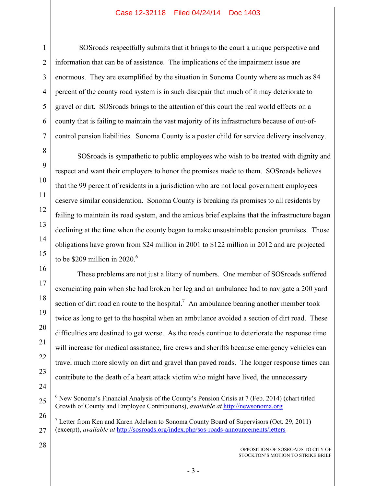SOSroads respectfully submits that it brings to the court a unique perspective and information that can be of assistance. The implications of the impairment issue are enormous. They are exemplified by the situation in Sonoma County where as much as 84 percent of the county road system is in such disrepair that much of it may deteriorate to gravel or dirt. SOSroads brings to the attention of this court the real world effects on a county that is failing to maintain the vast majority of its infrastructure because of out-ofcontrol pension liabilities. Sonoma County is a poster child for service delivery insolvency.

SOSroads is sympathetic to public employees who wish to be treated with dignity and respect and want their employers to honor the promises made to them. SOSroads believes that the 99 percent of residents in a jurisdiction who are not local government employees deserve similar consideration. Sonoma County is breaking its promises to all residents by failing to maintain its road system, and the amicus brief explains that the infrastructure began declining at the time when the county began to make unsustainable pension promises. Those obligations have grown from \$24 million in 2001 to \$122 million in 2012 and are projected to be \$209 million in 2020.<sup>6</sup>

These problems are not just a litany of numbers. One member of SOSroads suffered excruciating pain when she had broken her leg and an ambulance had to navigate a 200 yard section of dirt road en route to the hospital.<sup>7</sup> An ambulance bearing another member took twice as long to get to the hospital when an ambulance avoided a section of dirt road. These difficulties are destined to get worse. As the roads continue to deteriorate the response time will increase for medical assistance, fire crews and sheriffs because emergency vehicles can travel much more slowly on dirt and gravel than paved roads. The longer response times can contribute to the death of a heart attack victim who might have lived, the unnecessary

- <sup>6</sup> New Sonoma's Financial Analysis of the County's Pension Crisis at 7 (Feb. 2014) (chart titled Growth of County and Employee Contributions), *available at* http://newsonoma.org
- 26 27 7 Letter from Ken and Karen Adelson to Sonoma County Board of Supervisors (Oct. 29, 2011) (excerpt), *available at* http://sosroads.org/index.php/sos-roads-announcements/letters
- 28

1

2

3

4

5

6

7

8

9

10

11

12

13

14

15

16

17

18

19

20

21

22

23

24

25

OPPOSITION OF SOSROADS TO CITY OF STOCKTON'S MOTION TO STRIKE BRIEF